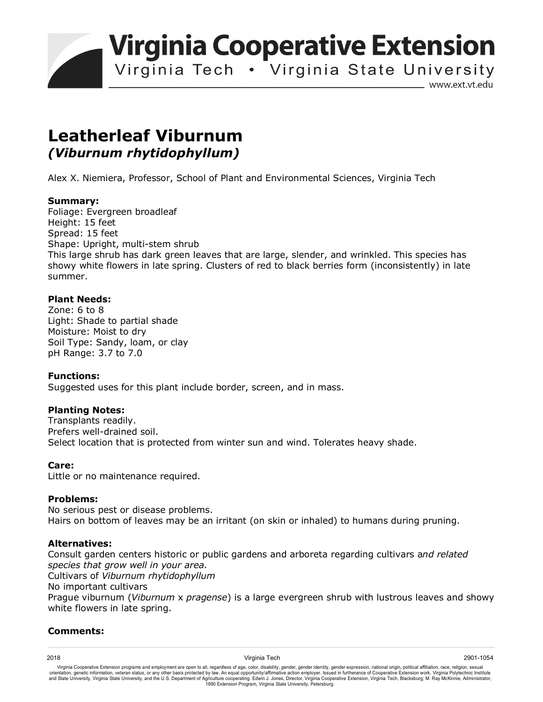**Virginia Cooperative Extension** 

Virginia Tech . Virginia State University

www.ext.vt.edu

# **Leatherleaf Viburnum**  *(Viburnum rhytidophyllum)*

Alex X. Niemiera, Professor, School of Plant and Environmental Sciences, Virginia Tech

### **Summary:**

Foliage: Evergreen broadleaf Height: 15 feet Spread: 15 feet Shape: Upright, multi-stem shrub This large shrub has dark green leaves that are large, slender, and wrinkled. This species has showy white flowers in late spring. Clusters of red to black berries form (inconsistently) in late summer.

## **Plant Needs:**

Zone: 6 to 8 Light: Shade to partial shade Moisture: Moist to dry Soil Type: Sandy, loam, or clay pH Range: 3.7 to 7.0

#### **Functions:**

Suggested uses for this plant include border, screen, and in mass.

#### **Planting Notes:**

Transplants readily. Prefers well-drained soil. Select location that is protected from winter sun and wind. Tolerates heavy shade.

#### **Care:**

Little or no maintenance required.

#### **Problems:**

No serious pest or disease problems. Hairs on bottom of leaves may be an irritant (on skin or inhaled) to humans during pruning.

#### **Alternatives:**

Consult garden centers historic or public gardens and arboreta regarding cultivars a*nd related species that grow well in your area.* Cultivars of *Viburnum rhytidophyllum* No important cultivars Prague viburnum (*Viburnum* x *pragense*) is a large evergreen shrub with lustrous leaves and showy white flowers in late spring.

#### **Comments:**

2018 Virginia Tech 2901-1054 Virginia Cooperative Extension programs and employment are open to all, regardless of age, color, disability, gender, gender identity, gender expression, national origin, political affiliation, race, religion, sexual orientation, genetic information, veteran status, or any other basis protected by law. An equal opportunity/affirmative action employer. Issued in furtherance of Cooperative Extension work, Virginia Polytechnic Institute<br>a 1890 Extension Program, Virginia State University, Petersburg.